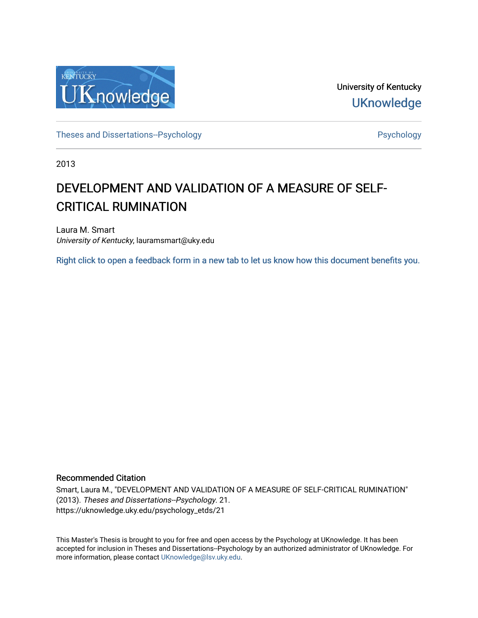

University of Kentucky **UKnowledge** 

[Theses and Dissertations--Psychology](https://uknowledge.uky.edu/psychology_etds) **Properties and Dissertations-Psychology Psychology** 

2013

# DEVELOPMENT AND VALIDATION OF A MEASURE OF SELF-CRITICAL RUMINATION

Laura M. Smart University of Kentucky, lauramsmart@uky.edu

[Right click to open a feedback form in a new tab to let us know how this document benefits you.](https://uky.az1.qualtrics.com/jfe/form/SV_9mq8fx2GnONRfz7)

#### Recommended Citation

Smart, Laura M., "DEVELOPMENT AND VALIDATION OF A MEASURE OF SELF-CRITICAL RUMINATION" (2013). Theses and Dissertations--Psychology. 21. https://uknowledge.uky.edu/psychology\_etds/21

This Master's Thesis is brought to you for free and open access by the Psychology at UKnowledge. It has been accepted for inclusion in Theses and Dissertations--Psychology by an authorized administrator of UKnowledge. For more information, please contact [UKnowledge@lsv.uky.edu](mailto:UKnowledge@lsv.uky.edu).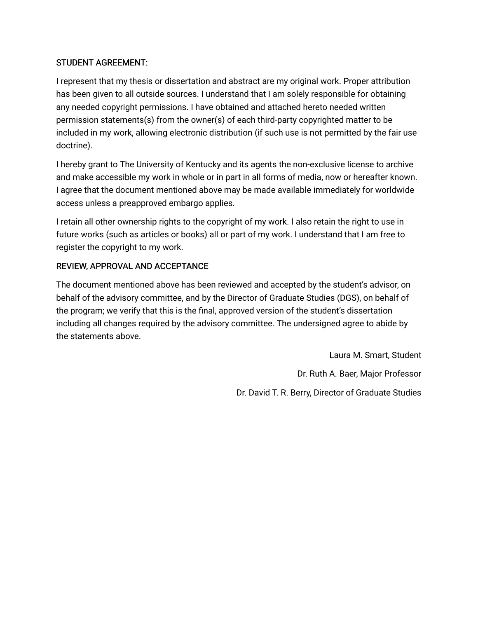# STUDENT AGREEMENT:

I represent that my thesis or dissertation and abstract are my original work. Proper attribution has been given to all outside sources. I understand that I am solely responsible for obtaining any needed copyright permissions. I have obtained and attached hereto needed written permission statements(s) from the owner(s) of each third-party copyrighted matter to be included in my work, allowing electronic distribution (if such use is not permitted by the fair use doctrine).

I hereby grant to The University of Kentucky and its agents the non-exclusive license to archive and make accessible my work in whole or in part in all forms of media, now or hereafter known. I agree that the document mentioned above may be made available immediately for worldwide access unless a preapproved embargo applies.

I retain all other ownership rights to the copyright of my work. I also retain the right to use in future works (such as articles or books) all or part of my work. I understand that I am free to register the copyright to my work.

# REVIEW, APPROVAL AND ACCEPTANCE

The document mentioned above has been reviewed and accepted by the student's advisor, on behalf of the advisory committee, and by the Director of Graduate Studies (DGS), on behalf of the program; we verify that this is the final, approved version of the student's dissertation including all changes required by the advisory committee. The undersigned agree to abide by the statements above.

> Laura M. Smart, Student Dr. Ruth A. Baer, Major Professor Dr. David T. R. Berry, Director of Graduate Studies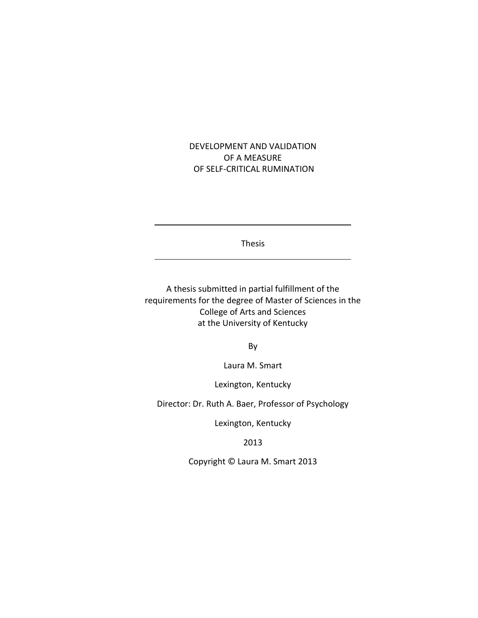# DEVELOPMENT AND VALIDATION OF A MEASURE OF SELF-CRITICAL RUMINATION

Thesis

A thesis submitted in partial fulfillment of the requirements for the degree of Master of Sciences in the College of Arts and Sciences at the University of Kentucky

By

Laura M. Smart

Lexington, Kentucky

Director: Dr. Ruth A. Baer, Professor of Psychology

Lexington, Kentucky

2013

Copyright © Laura M. Smart 2013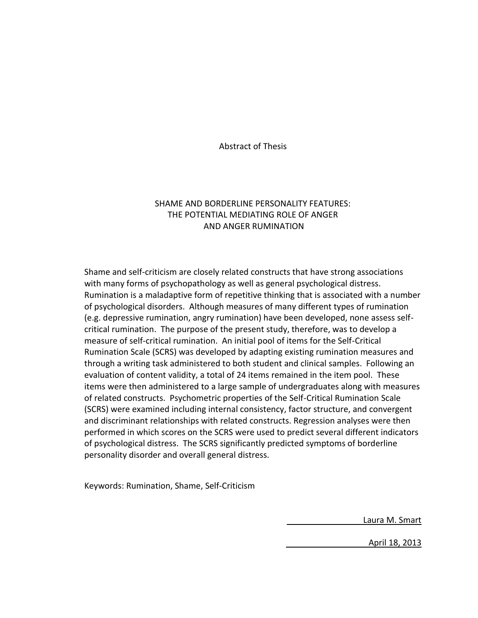Abstract of Thesis

# SHAME AND BORDERLINE PERSONALITY FEATURES: THE POTENTIAL MEDIATING ROLE OF ANGER AND ANGER RUMINATION

Shame and self-criticism are closely related constructs that have strong associations with many forms of psychopathology as well as general psychological distress. Rumination is a maladaptive form of repetitive thinking that is associated with a number of psychological disorders. Although measures of many different types of rumination (e.g. depressive rumination, angry rumination) have been developed, none assess selfcritical rumination. The purpose of the present study, therefore, was to develop a measure of self-critical rumination. An initial pool of items for the Self-Critical Rumination Scale (SCRS) was developed by adapting existing rumination measures and through a writing task administered to both student and clinical samples. Following an evaluation of content validity, a total of 24 items remained in the item pool. These items were then administered to a large sample of undergraduates along with measures of related constructs. Psychometric properties of the Self-Critical Rumination Scale (SCRS) were examined including internal consistency, factor structure, and convergent and discriminant relationships with related constructs. Regression analyses were then performed in which scores on the SCRS were used to predict several different indicators of psychological distress. The SCRS significantly predicted symptoms of borderline personality disorder and overall general distress.

Keywords: Rumination, Shame, Self-Criticism

Laura M. Smart

April 18, 2013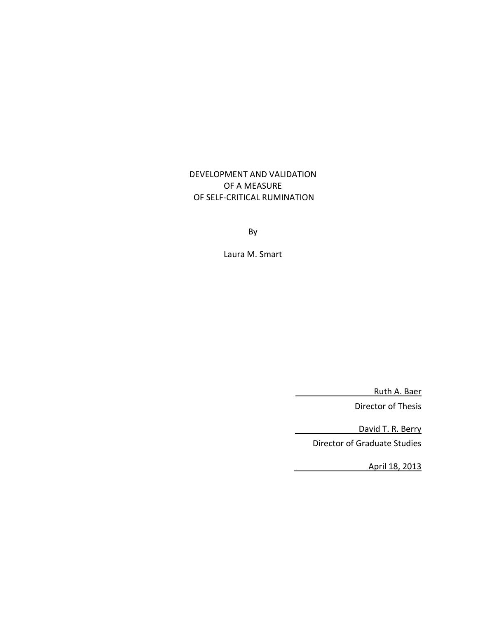DEVELOPMENT AND VALIDATION OF A MEASURE OF SELF-CRITICAL RUMINATION

By

Laura M. Smart

Ruth A. Baer

Director of Thesis

 David T. R. Berry Director of Graduate Studies

April 18, 2013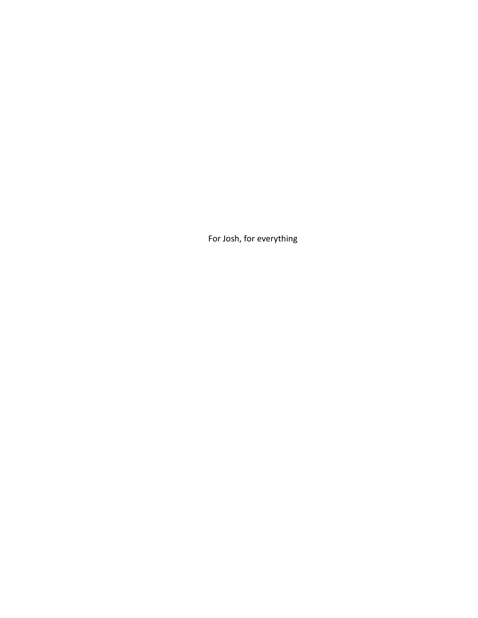For Josh, for everything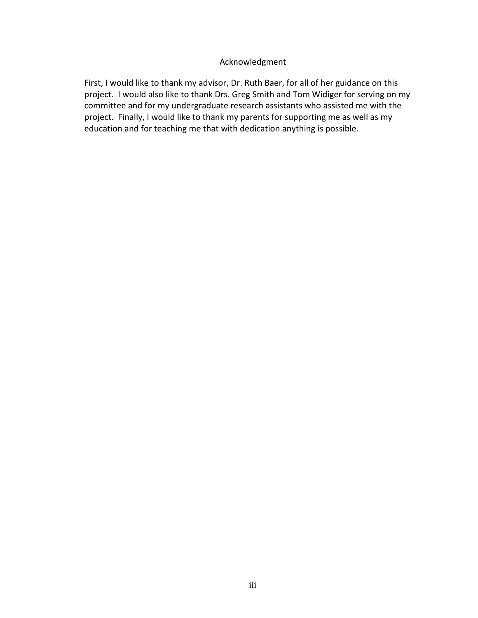# Acknowledgment

<span id="page-6-0"></span>First, I would like to thank my advisor, Dr. Ruth Baer, for all of her guidance on this project. I would also like to thank Drs. Greg Smith and Tom Widiger for serving on my committee and for my undergraduate research assistants who assisted me with the project. Finally, I would like to thank my parents for supporting me as well as my education and for teaching me that with dedication anything is possible.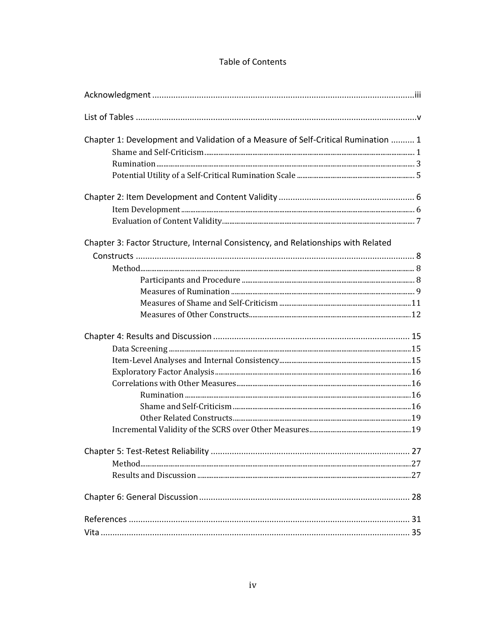# Table of Contents

| Chapter 1: Development and Validation of a Measure of Self-Critical Rumination  1 |  |
|-----------------------------------------------------------------------------------|--|
|                                                                                   |  |
|                                                                                   |  |
|                                                                                   |  |
|                                                                                   |  |
|                                                                                   |  |
|                                                                                   |  |
| Chapter 3: Factor Structure, Internal Consistency, and Relationships with Related |  |
|                                                                                   |  |
|                                                                                   |  |
|                                                                                   |  |
|                                                                                   |  |
|                                                                                   |  |
|                                                                                   |  |
|                                                                                   |  |
|                                                                                   |  |
|                                                                                   |  |
|                                                                                   |  |
|                                                                                   |  |
|                                                                                   |  |
|                                                                                   |  |
|                                                                                   |  |
|                                                                                   |  |
|                                                                                   |  |
|                                                                                   |  |
|                                                                                   |  |
|                                                                                   |  |
|                                                                                   |  |
|                                                                                   |  |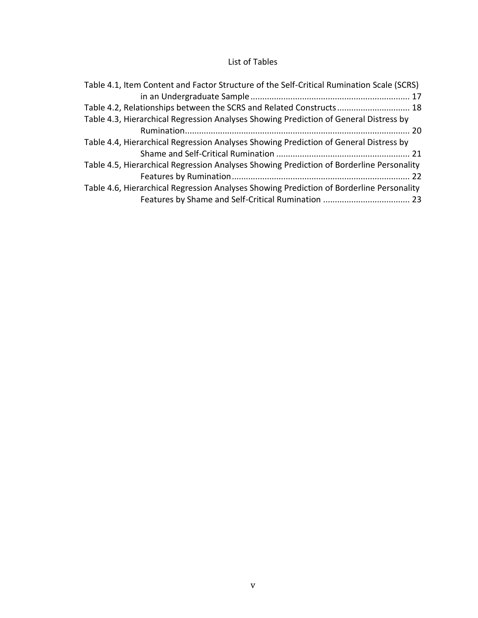# List of Tables

<span id="page-8-0"></span>

| Table 4.1, Item Content and Factor Structure of the Self-Critical Rumination Scale (SCRS) |
|-------------------------------------------------------------------------------------------|
|                                                                                           |
| Table 4.2, Relationships between the SCRS and Related Constructs 18                       |
| Table 4.3, Hierarchical Regression Analyses Showing Prediction of General Distress by     |
|                                                                                           |
| Table 4.4, Hierarchical Regression Analyses Showing Prediction of General Distress by     |
|                                                                                           |
| Table 4.5, Hierarchical Regression Analyses Showing Prediction of Borderline Personality  |
|                                                                                           |
| Table 4.6, Hierarchical Regression Analyses Showing Prediction of Borderline Personality  |
|                                                                                           |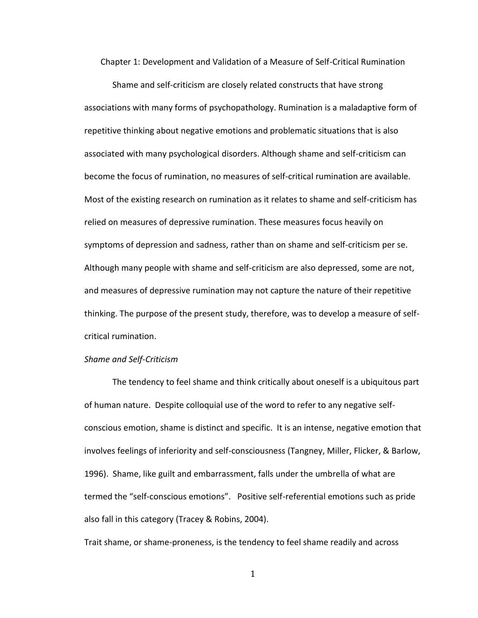<span id="page-9-0"></span>Chapter 1: Development and Validation of a Measure of Self-Critical Rumination

Shame and self-criticism are closely related constructs that have strong associations with many forms of psychopathology. Rumination is a maladaptive form of repetitive thinking about negative emotions and problematic situations that is also associated with many psychological disorders. Although shame and self-criticism can become the focus of rumination, no measures of self-critical rumination are available. Most of the existing research on rumination as it relates to shame and self-criticism has relied on measures of depressive rumination. These measures focus heavily on symptoms of depression and sadness, rather than on shame and self-criticism per se. Although many people with shame and self-criticism are also depressed, some are not, and measures of depressive rumination may not capture the nature of their repetitive thinking. The purpose of the present study, therefore, was to develop a measure of selfcritical rumination.

### <span id="page-9-1"></span>*Shame and Self-Criticism*

The tendency to feel shame and think critically about oneself is a ubiquitous part of human nature. Despite colloquial use of the word to refer to any negative selfconscious emotion, shame is distinct and specific. It is an intense, negative emotion that involves feelings of inferiority and self-consciousness (Tangney, Miller, Flicker, & Barlow, 1996). Shame, like guilt and embarrassment, falls under the umbrella of what are termed the "self-conscious emotions". Positive self-referential emotions such as pride also fall in this category (Tracey & Robins, 2004).

Trait shame, or shame-proneness, is the tendency to feel shame readily and across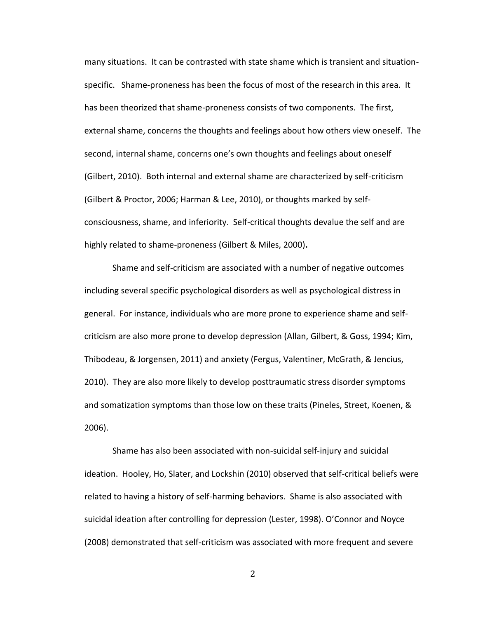many situations. It can be contrasted with state shame which is transient and situationspecific. Shame-proneness has been the focus of most of the research in this area. It has been theorized that shame-proneness consists of two components. The first, external shame, concerns the thoughts and feelings about how others view oneself. The second, internal shame, concerns one's own thoughts and feelings about oneself (Gilbert, 2010). Both internal and external shame are characterized by self-criticism (Gilbert & Proctor, 2006; Harman & Lee, 2010), or thoughts marked by selfconsciousness, shame, and inferiority. Self-critical thoughts devalue the self and are highly related to shame-proneness (Gilbert & Miles, 2000)**.**

Shame and self-criticism are associated with a number of negative outcomes including several specific psychological disorders as well as psychological distress in general. For instance, individuals who are more prone to experience shame and selfcriticism are also more prone to develop depression (Allan, Gilbert, & Goss, 1994; Kim, Thibodeau, & Jorgensen, 2011) and anxiety (Fergus, Valentiner, McGrath, & Jencius, 2010). They are also more likely to develop posttraumatic stress disorder symptoms and somatization symptoms than those low on these traits (Pineles, Street, Koenen, & 2006).

Shame has also been associated with non-suicidal self-injury and suicidal ideation. Hooley, Ho, Slater, and Lockshin (2010) observed that self-critical beliefs were related to having a history of self-harming behaviors. Shame is also associated with suicidal ideation after controlling for depression (Lester, 1998). O'Connor and Noyce (2008) demonstrated that self-criticism was associated with more frequent and severe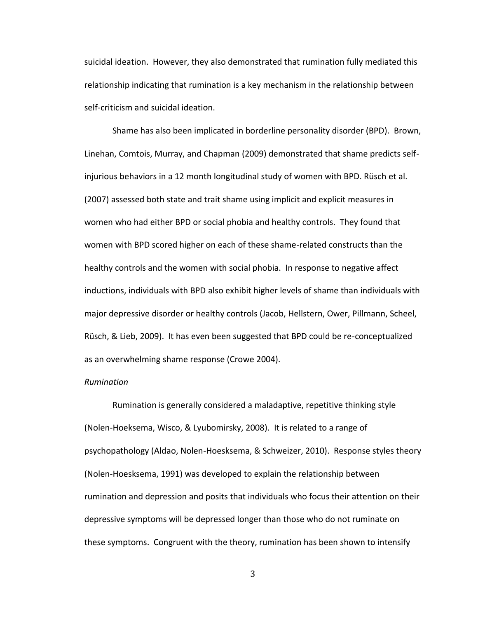suicidal ideation. However, they also demonstrated that rumination fully mediated this relationship indicating that rumination is a key mechanism in the relationship between self-criticism and suicidal ideation.

Shame has also been implicated in borderline personality disorder (BPD). Brown, Linehan, Comtois, Murray, and Chapman (2009) demonstrated that shame predicts selfinjurious behaviors in a 12 month longitudinal study of women with BPD. Rüsch et al. (2007) assessed both state and trait shame using implicit and explicit measures in women who had either BPD or social phobia and healthy controls. They found that women with BPD scored higher on each of these shame-related constructs than the healthy controls and the women with social phobia. In response to negative affect inductions, individuals with BPD also exhibit higher levels of shame than individuals with major depressive disorder or healthy controls (Jacob, Hellstern, Ower, Pillmann, Scheel, Rüsch, & Lieb, 2009). It has even been suggested that BPD could be re-conceptualized as an overwhelming shame response (Crowe 2004).

#### <span id="page-11-0"></span>*Rumination*

Rumination is generally considered a maladaptive, repetitive thinking style (Nolen-Hoeksema, Wisco, & Lyubomirsky, 2008). It is related to a range of psychopathology (Aldao, Nolen-Hoesksema, & Schweizer, 2010). Response styles theory (Nolen-Hoesksema, 1991) was developed to explain the relationship between rumination and depression and posits that individuals who focus their attention on their depressive symptoms will be depressed longer than those who do not ruminate on these symptoms. Congruent with the theory, rumination has been shown to intensify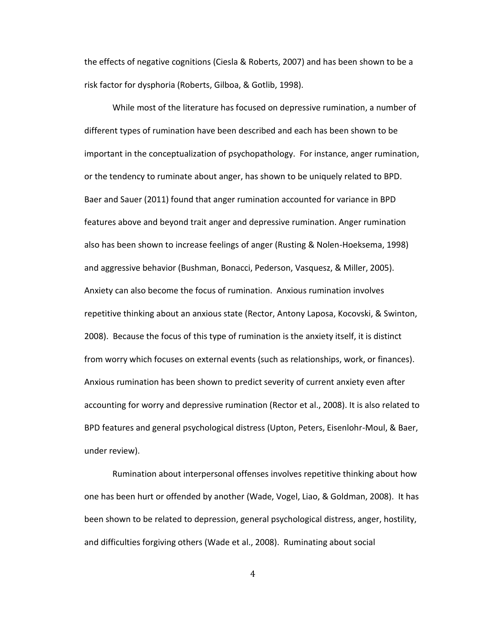the effects of negative cognitions (Ciesla & Roberts, 2007) and has been shown to be a risk factor for dysphoria (Roberts, Gilboa, & Gotlib, 1998).

While most of the literature has focused on depressive rumination, a number of different types of rumination have been described and each has been shown to be important in the conceptualization of psychopathology. For instance, anger rumination, or the tendency to ruminate about anger, has shown to be uniquely related to BPD. Baer and Sauer (2011) found that anger rumination accounted for variance in BPD features above and beyond trait anger and depressive rumination. Anger rumination also has been shown to increase feelings of anger (Rusting & Nolen-Hoeksema, 1998) and aggressive behavior (Bushman, Bonacci, Pederson, Vasquesz, & Miller, 2005). Anxiety can also become the focus of rumination. Anxious rumination involves repetitive thinking about an anxious state (Rector, Antony Laposa, Kocovski, & Swinton, 2008). Because the focus of this type of rumination is the anxiety itself, it is distinct from worry which focuses on external events (such as relationships, work, or finances). Anxious rumination has been shown to predict severity of current anxiety even after accounting for worry and depressive rumination (Rector et al., 2008). It is also related to BPD features and general psychological distress (Upton, Peters, Eisenlohr-Moul, & Baer, under review).

Rumination about interpersonal offenses involves repetitive thinking about how one has been hurt or offended by another (Wade, Vogel, Liao, & Goldman, 2008). It has been shown to be related to depression, general psychological distress, anger, hostility, and difficulties forgiving others (Wade et al., 2008). Ruminating about social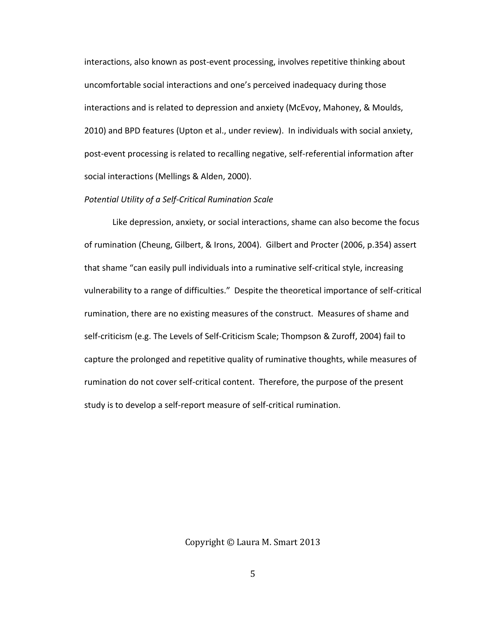interactions, also known as post-event processing, involves repetitive thinking about uncomfortable social interactions and one's perceived inadequacy during those interactions and is related to depression and anxiety (McEvoy, Mahoney, & Moulds, 2010) and BPD features (Upton et al., under review). In individuals with social anxiety, post-event processing is related to recalling negative, self-referential information after social interactions (Mellings & Alden, 2000).

### <span id="page-13-0"></span>*Potential Utility of a Self-Critical Rumination Scale*

Like depression, anxiety, or social interactions, shame can also become the focus of rumination (Cheung, Gilbert, & Irons, 2004). Gilbert and Procter (2006, p.354) assert that shame "can easily pull individuals into a ruminative self-critical style, increasing vulnerability to a range of difficulties." Despite the theoretical importance of self-critical rumination, there are no existing measures of the construct. Measures of shame and self-criticism (e.g. The Levels of Self-Criticism Scale; Thompson & Zuroff, 2004) fail to capture the prolonged and repetitive quality of ruminative thoughts, while measures of rumination do not cover self-critical content. Therefore, the purpose of the present study is to develop a self-report measure of self-critical rumination.

Copyright © Laura M. Smart 2013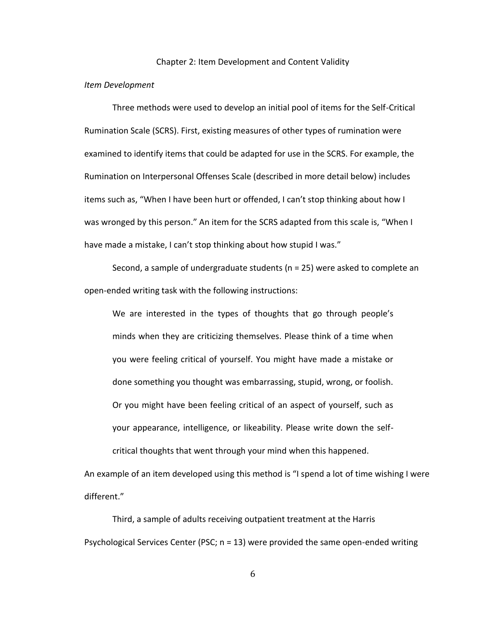#### Chapter 2: Item Development and Content Validity

#### <span id="page-14-1"></span><span id="page-14-0"></span>*Item Development*

Three methods were used to develop an initial pool of items for the Self-Critical Rumination Scale (SCRS). First, existing measures of other types of rumination were examined to identify items that could be adapted for use in the SCRS. For example, the Rumination on Interpersonal Offenses Scale (described in more detail below) includes items such as, "When I have been hurt or offended, I can't stop thinking about how I was wronged by this person." An item for the SCRS adapted from this scale is, "When I have made a mistake, I can't stop thinking about how stupid I was."

Second, a sample of undergraduate students (n = 25) were asked to complete an open-ended writing task with the following instructions:

We are interested in the types of thoughts that go through people's minds when they are criticizing themselves. Please think of a time when you were feeling critical of yourself. You might have made a mistake or done something you thought was embarrassing, stupid, wrong, or foolish. Or you might have been feeling critical of an aspect of yourself, such as your appearance, intelligence, or likeability. Please write down the selfcritical thoughts that went through your mind when this happened.

An example of an item developed using this method is "I spend a lot of time wishing I were different."

Third, a sample of adults receiving outpatient treatment at the Harris Psychological Services Center (PSC; n = 13) were provided the same open-ended writing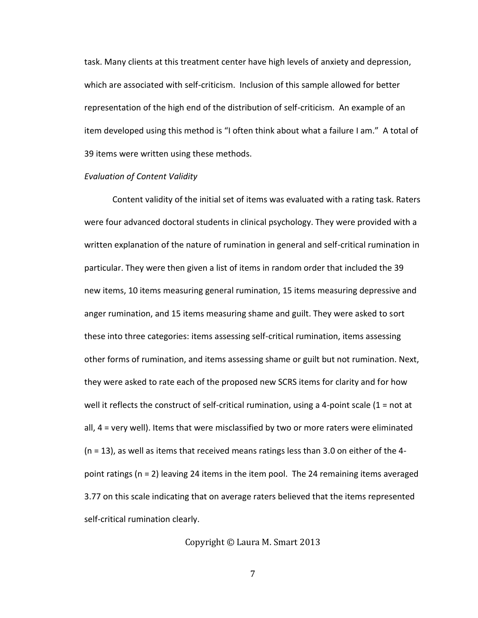task. Many clients at this treatment center have high levels of anxiety and depression, which are associated with self-criticism. Inclusion of this sample allowed for better representation of the high end of the distribution of self-criticism. An example of an item developed using this method is "I often think about what a failure I am." A total of 39 items were written using these methods.

#### <span id="page-15-0"></span>*Evaluation of Content Validity*

Content validity of the initial set of items was evaluated with a rating task. Raters were four advanced doctoral students in clinical psychology. They were provided with a written explanation of the nature of rumination in general and self-critical rumination in particular. They were then given a list of items in random order that included the 39 new items, 10 items measuring general rumination, 15 items measuring depressive and anger rumination, and 15 items measuring shame and guilt. They were asked to sort these into three categories: items assessing self-critical rumination, items assessing other forms of rumination, and items assessing shame or guilt but not rumination. Next, they were asked to rate each of the proposed new SCRS items for clarity and for how well it reflects the construct of self-critical rumination, using a 4-point scale  $(1 = not$  at all, 4 = very well). Items that were misclassified by two or more raters were eliminated (n = 13), as well as items that received means ratings less than 3.0 on either of the 4 point ratings (n = 2) leaving 24 items in the item pool. The 24 remaining items averaged 3.77 on this scale indicating that on average raters believed that the items represented self-critical rumination clearly.

Copyright © Laura M. Smart 2013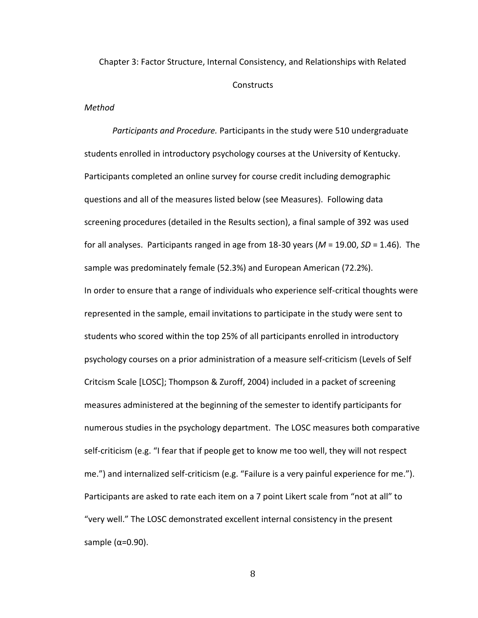<span id="page-16-0"></span>Chapter 3: Factor Structure, Internal Consistency, and Relationships with Related **Constructs** 

## <span id="page-16-1"></span>*Method*

<span id="page-16-2"></span>*Participants and Procedure.* Participants in the study were 510 undergraduate students enrolled in introductory psychology courses at the University of Kentucky. Participants completed an online survey for course credit including demographic questions and all of the measures listed below (see Measures). Following data screening procedures (detailed in the Results section), a final sample of 392 was used for all analyses. Participants ranged in age from 18-30 years (*M* = 19.00, *SD* = 1.46). The sample was predominately female (52.3%) and European American (72.2%). In order to ensure that a range of individuals who experience self-critical thoughts were represented in the sample, email invitations to participate in the study were sent to students who scored within the top 25% of all participants enrolled in introductory psychology courses on a prior administration of a measure self-criticism (Levels of Self Critcism Scale [LOSC]; Thompson & Zuroff, 2004) included in a packet of screening measures administered at the beginning of the semester to identify participants for numerous studies in the psychology department. The LOSC measures both comparative self-criticism (e.g. "I fear that if people get to know me too well, they will not respect me.") and internalized self-criticism (e.g. "Failure is a very painful experience for me."). Participants are asked to rate each item on a 7 point Likert scale from "not at all" to "very well." The LOSC demonstrated excellent internal consistency in the present sample ( $α=0.90$ ).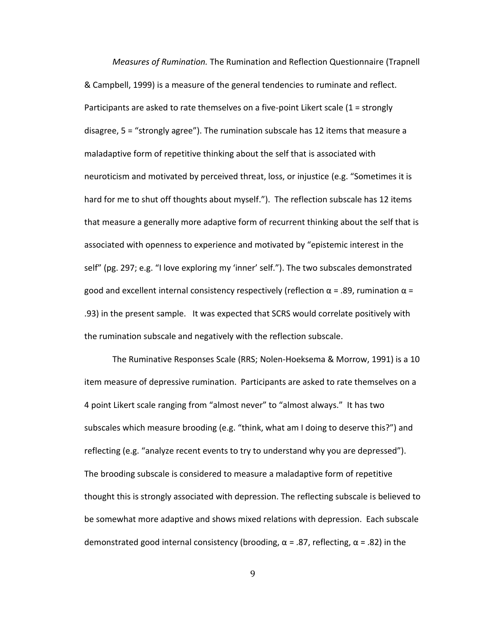<span id="page-17-0"></span>*Measures of Rumination.* The Rumination and Reflection Questionnaire (Trapnell & Campbell, 1999) is a measure of the general tendencies to ruminate and reflect. Participants are asked to rate themselves on a five-point Likert scale (1 = strongly disagree, 5 = "strongly agree"). The rumination subscale has 12 items that measure a maladaptive form of repetitive thinking about the self that is associated with neuroticism and motivated by perceived threat, loss, or injustice (e.g. "Sometimes it is hard for me to shut off thoughts about myself."). The reflection subscale has 12 items that measure a generally more adaptive form of recurrent thinking about the self that is associated with openness to experience and motivated by "epistemic interest in the self" (pg. 297; e.g. "I love exploring my 'inner' self."). The two subscales demonstrated good and excellent internal consistency respectively (reflection  $\alpha$  = .89, rumination  $\alpha$  = .93) in the present sample. It was expected that SCRS would correlate positively with the rumination subscale and negatively with the reflection subscale.

The Ruminative Responses Scale (RRS; Nolen-Hoeksema & Morrow, 1991) is a 10 item measure of depressive rumination. Participants are asked to rate themselves on a 4 point Likert scale ranging from "almost never" to "almost always." It has two subscales which measure brooding (e.g. "think, what am I doing to deserve this?") and reflecting (e.g. "analyze recent events to try to understand why you are depressed"). The brooding subscale is considered to measure a maladaptive form of repetitive thought this is strongly associated with depression. The reflecting subscale is believed to be somewhat more adaptive and shows mixed relations with depression. Each subscale demonstrated good internal consistency (brooding,  $\alpha$  = .87, reflecting,  $\alpha$  = .82) in the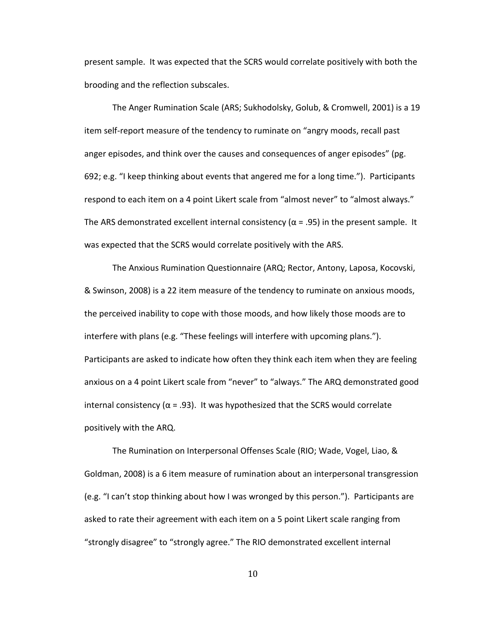present sample. It was expected that the SCRS would correlate positively with both the brooding and the reflection subscales.

The Anger Rumination Scale (ARS; Sukhodolsky, Golub, & Cromwell, 2001) is a 19 item self-report measure of the tendency to ruminate on "angry moods, recall past anger episodes, and think over the causes and consequences of anger episodes" (pg. 692; e.g. "I keep thinking about events that angered me for a long time."). Participants respond to each item on a 4 point Likert scale from "almost never" to "almost always." The ARS demonstrated excellent internal consistency ( $\alpha$  = .95) in the present sample. It was expected that the SCRS would correlate positively with the ARS.

The Anxious Rumination Questionnaire (ARQ; Rector, Antony, Laposa, Kocovski, & Swinson, 2008) is a 22 item measure of the tendency to ruminate on anxious moods, the perceived inability to cope with those moods, and how likely those moods are to interfere with plans (e.g. "These feelings will interfere with upcoming plans."). Participants are asked to indicate how often they think each item when they are feeling anxious on a 4 point Likert scale from "never" to "always." The ARQ demonstrated good internal consistency ( $\alpha$  = .93). It was hypothesized that the SCRS would correlate positively with the ARQ.

The Rumination on Interpersonal Offenses Scale (RIO; Wade, Vogel, Liao, & Goldman, 2008) is a 6 item measure of rumination about an interpersonal transgression (e.g. "I can't stop thinking about how I was wronged by this person."). Participants are asked to rate their agreement with each item on a 5 point Likert scale ranging from "strongly disagree" to "strongly agree." The RIO demonstrated excellent internal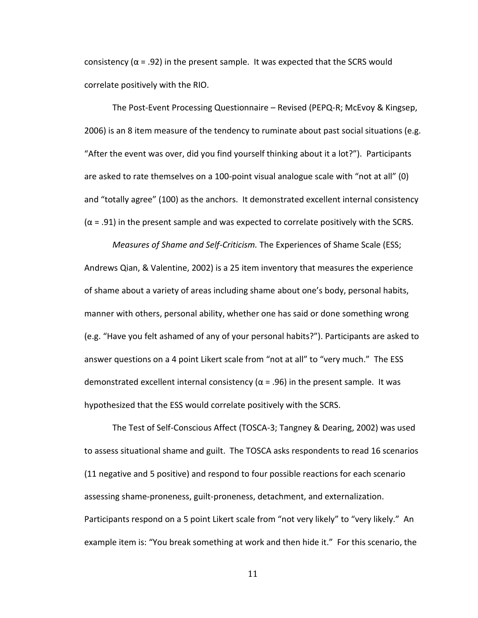consistency ( $\alpha$  = .92) in the present sample. It was expected that the SCRS would correlate positively with the RIO.

The Post-Event Processing Questionnaire – Revised (PEPQ-R; McEvoy & Kingsep, 2006) is an 8 item measure of the tendency to ruminate about past social situations (e.g. "After the event was over, did you find yourself thinking about it a lot?"). Participants are asked to rate themselves on a 100-point visual analogue scale with "not at all" (0) and "totally agree" (100) as the anchors. It demonstrated excellent internal consistency  $(\alpha = .91)$  in the present sample and was expected to correlate positively with the SCRS.

<span id="page-19-0"></span>*Measures of Shame and Self-Criticism.* The Experiences of Shame Scale (ESS; Andrews Qian, & Valentine, 2002) is a 25 item inventory that measures the experience of shame about a variety of areas including shame about one's body, personal habits, manner with others, personal ability, whether one has said or done something wrong (e.g. "Have you felt ashamed of any of your personal habits?"). Participants are asked to answer questions on a 4 point Likert scale from "not at all" to "very much." The ESS demonstrated excellent internal consistency ( $\alpha$  = .96) in the present sample. It was hypothesized that the ESS would correlate positively with the SCRS.

The Test of Self-Conscious Affect (TOSCA-3; Tangney & Dearing, 2002) was used to assess situational shame and guilt. The TOSCA asks respondents to read 16 scenarios (11 negative and 5 positive) and respond to four possible reactions for each scenario assessing shame-proneness, guilt-proneness, detachment, and externalization. Participants respond on a 5 point Likert scale from "not very likely" to "very likely." An example item is: "You break something at work and then hide it." For this scenario, the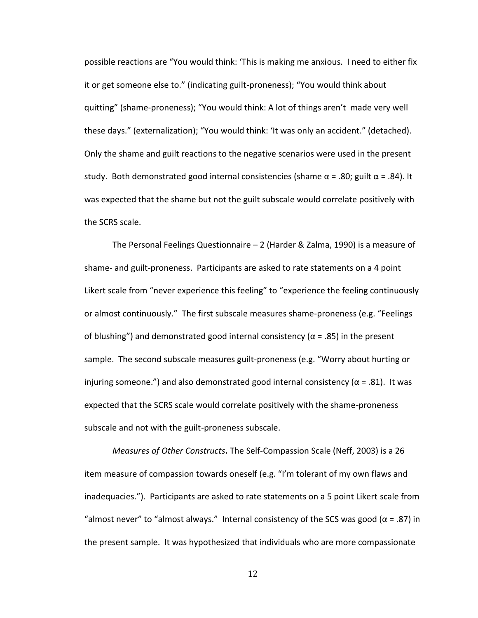possible reactions are "You would think: 'This is making me anxious. I need to either fix it or get someone else to." (indicating guilt-proneness); "You would think about quitting" (shame-proneness); "You would think: A lot of things aren't made very well these days." (externalization); "You would think: 'It was only an accident." (detached). Only the shame and guilt reactions to the negative scenarios were used in the present study. Both demonstrated good internal consistencies (shame  $\alpha$  = .80; guilt  $\alpha$  = .84). It was expected that the shame but not the guilt subscale would correlate positively with the SCRS scale.

The Personal Feelings Questionnaire – 2 (Harder & Zalma, 1990) is a measure of shame- and guilt-proneness. Participants are asked to rate statements on a 4 point Likert scale from "never experience this feeling" to "experience the feeling continuously or almost continuously." The first subscale measures shame-proneness (e.g. "Feelings of blushing") and demonstrated good internal consistency ( $\alpha$  = .85) in the present sample. The second subscale measures guilt-proneness (e.g. "Worry about hurting or injuring someone.") and also demonstrated good internal consistency ( $\alpha$  = .81). It was expected that the SCRS scale would correlate positively with the shame-proneness subscale and not with the guilt-proneness subscale.

<span id="page-20-0"></span>*Measures of Other Constructs***.** The Self-Compassion Scale (Neff, 2003) is a 26 item measure of compassion towards oneself (e.g. "I'm tolerant of my own flaws and inadequacies."). Participants are asked to rate statements on a 5 point Likert scale from "almost never" to "almost always." Internal consistency of the SCS was good ( $\alpha$  = .87) in the present sample. It was hypothesized that individuals who are more compassionate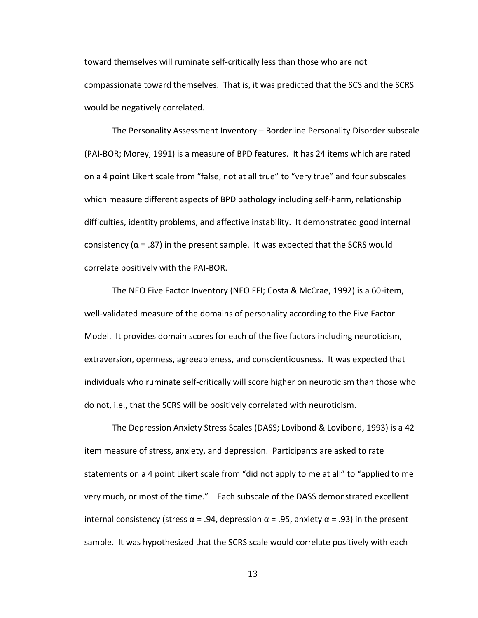toward themselves will ruminate self-critically less than those who are not compassionate toward themselves. That is, it was predicted that the SCS and the SCRS would be negatively correlated.

The Personality Assessment Inventory – Borderline Personality Disorder subscale (PAI-BOR; Morey, 1991) is a measure of BPD features. It has 24 items which are rated on a 4 point Likert scale from "false, not at all true" to "very true" and four subscales which measure different aspects of BPD pathology including self-harm, relationship difficulties, identity problems, and affective instability. It demonstrated good internal consistency ( $\alpha$  = .87) in the present sample. It was expected that the SCRS would correlate positively with the PAI-BOR.

The NEO Five Factor Inventory (NEO FFI; Costa & McCrae, 1992) is a 60-item, well-validated measure of the domains of personality according to the Five Factor Model. It provides domain scores for each of the five factors including neuroticism, extraversion, openness, agreeableness, and conscientiousness. It was expected that individuals who ruminate self-critically will score higher on neuroticism than those who do not, i.e., that the SCRS will be positively correlated with neuroticism.

The Depression Anxiety Stress Scales (DASS; Lovibond & Lovibond, 1993) is a 42 item measure of stress, anxiety, and depression. Participants are asked to rate statements on a 4 point Likert scale from "did not apply to me at all" to "applied to me very much, or most of the time." Each subscale of the DASS demonstrated excellent internal consistency (stress  $\alpha$  = .94, depression  $\alpha$  = .95, anxiety  $\alpha$  = .93) in the present sample. It was hypothesized that the SCRS scale would correlate positively with each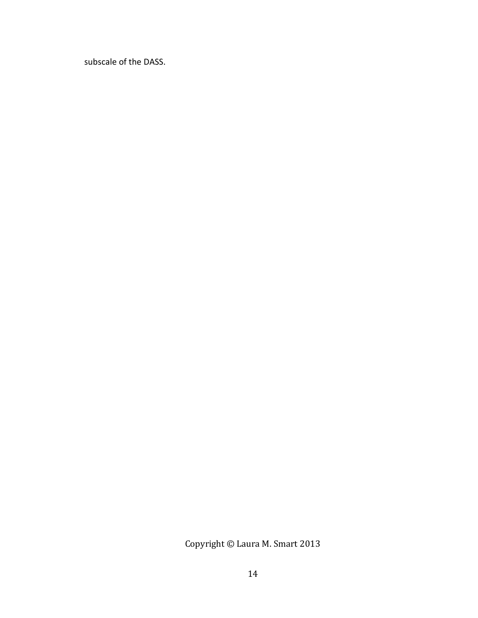subscale of the DASS.

Copyright © Laura M. Smart 2013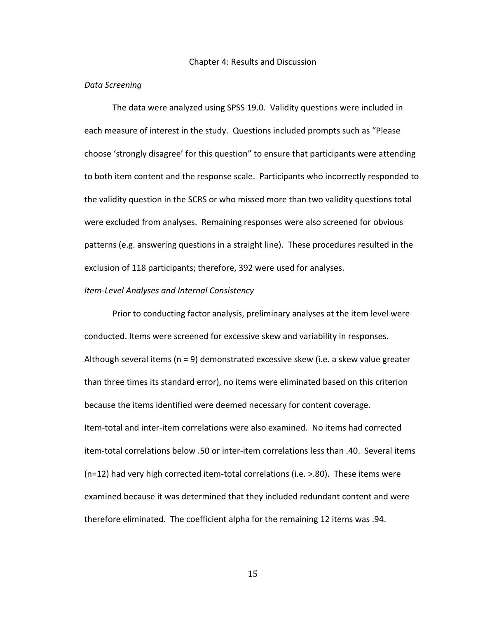#### Chapter 4: Results and Discussion

#### <span id="page-23-1"></span><span id="page-23-0"></span>*Data Screening*

The data were analyzed using SPSS 19.0. Validity questions were included in each measure of interest in the study. Questions included prompts such as "Please choose 'strongly disagree' for this question" to ensure that participants were attending to both item content and the response scale. Participants who incorrectly responded to the validity question in the SCRS or who missed more than two validity questions total were excluded from analyses. Remaining responses were also screened for obvious patterns (e.g. answering questions in a straight line). These procedures resulted in the exclusion of 118 participants; therefore, 392 were used for analyses.

#### <span id="page-23-2"></span>*Item-Level Analyses and Internal Consistency*

Prior to conducting factor analysis, preliminary analyses at the item level were conducted. Items were screened for excessive skew and variability in responses. Although several items (n = 9) demonstrated excessive skew (i.e. a skew value greater than three times its standard error), no items were eliminated based on this criterion because the items identified were deemed necessary for content coverage. Item-total and inter-item correlations were also examined. No items had corrected item-total correlations below .50 or inter-item correlations less than .40. Several items (n=12) had very high corrected item-total correlations (i.e. >.80). These items were examined because it was determined that they included redundant content and were therefore eliminated. The coefficient alpha for the remaining 12 items was .94.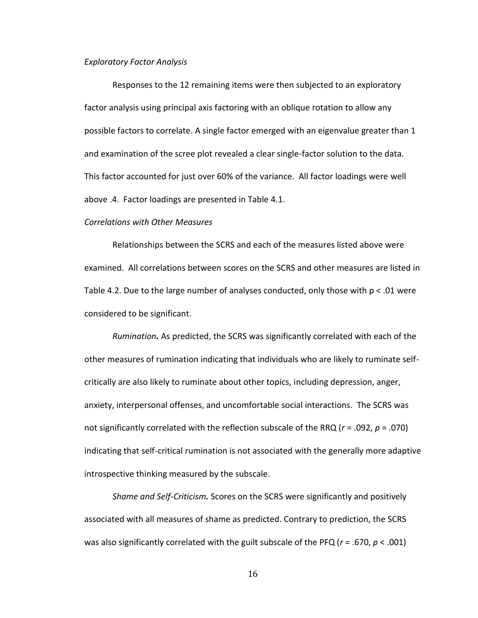#### <span id="page-24-0"></span>*Exploratory Factor Analysis*

Responses to the 12 remaining items were then subjected to an exploratory factor analysis using principal axis factoring with an oblique rotation to allow any possible factors to correlate. A single factor emerged with an eigenvalue greater than 1 and examination of the scree plot revealed a clear single-factor solution to the data. This factor accounted for just over 60% of the variance. All factor loadings were well above .4. Factor loadings are presented in Table 4.1.

#### <span id="page-24-1"></span>*Correlations with Other Measures*

Relationships between the SCRS and each of the measures listed above were examined. All correlations between scores on the SCRS and other measures are listed in Table 4.2. Due to the large number of analyses conducted, only those with  $p < 01$  were considered to be significant.

<span id="page-24-2"></span>*Rumination.* As predicted, the SCRS was significantly correlated with each of the other measures of rumination indicating that individuals who are likely to ruminate selfcritically are also likely to ruminate about other topics, including depression, anger, anxiety, interpersonal offenses, and uncomfortable social interactions. The SCRS was not significantly correlated with the reflection subscale of the RRQ (*r* = .092, *p* = .070) indicating that self-critical rumination is not associated with the generally more adaptive introspective thinking measured by the subscale.

<span id="page-24-3"></span>*Shame and Self-Criticism.* Scores on the SCRS were significantly and positively associated with all measures of shame as predicted. Contrary to prediction, the SCRS was also significantly correlated with the guilt subscale of the PFQ (*r* = .670, *p* < .001)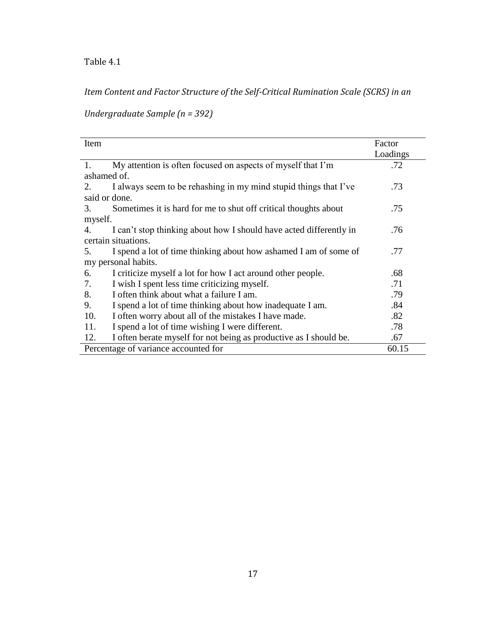*Item Content and Factor Structure of the Self-Critical Rumination Scale (SCRS) in an* 

*Undergraduate Sample (n = 392)*

| Item          |                                                                    | Factor<br>Loadings |
|---------------|--------------------------------------------------------------------|--------------------|
| 1.            | My attention is often focused on aspects of myself that I'm        | .72                |
| ashamed of.   |                                                                    |                    |
| 2.            | I always seem to be rehashing in my mind stupid things that I've   | .73                |
| said or done. |                                                                    |                    |
| 3.            | Sometimes it is hard for me to shut off critical thoughts about    | .75                |
| myself.       |                                                                    |                    |
| 4.            | I can't stop thinking about how I should have acted differently in | .76                |
|               | certain situations.                                                |                    |
| 5.            | I spend a lot of time thinking about how ashamed I am of some of   | .77                |
|               | my personal habits.                                                |                    |
| 6.            | I criticize myself a lot for how I act around other people.        | .68                |
| 7.            | I wish I spent less time criticizing myself.                       | .71                |
| 8.            | I often think about what a failure I am.                           | .79                |
| 9.            | I spend a lot of time thinking about how inadequate I am.          | .84                |
| 10.           | I often worry about all of the mistakes I have made.               | .82                |
| 11.           | I spend a lot of time wishing I were different.                    | .78                |
| 12.           | I often berate myself for not being as productive as I should be.  | .67                |
|               | Percentage of variance accounted for                               | 60.15              |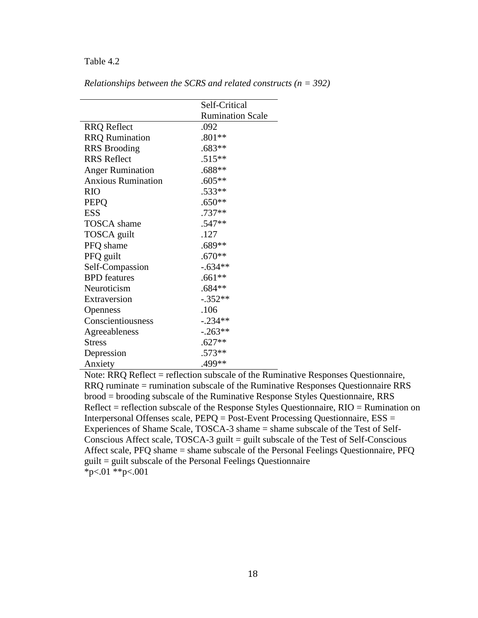|                           | Self-Critical           |
|---------------------------|-------------------------|
|                           | <b>Rumination Scale</b> |
| <b>RRQ</b> Reflect        | .092                    |
| <b>RRQ</b> Rumination     | $.801**$                |
| <b>RRS</b> Brooding       | $.683**$                |
| <b>RRS</b> Reflect        | $.515**$                |
| <b>Anger Rumination</b>   | .688**                  |
| <b>Anxious Rumination</b> | $.605**$                |
| <b>RIO</b>                | .533**                  |
| <b>PEPQ</b>               | $.650**$                |
| <b>ESS</b>                | .737**                  |
| TOSCA shame               | .547**                  |
| TOSCA guilt               | .127                    |
| PFQ shame                 | $.689**$                |
| PFQ guilt                 | $.670**$                |
| Self-Compassion           | $-.634**$               |
| <b>BPD</b> features       | $.661**$                |
| Neuroticism               | $.684**$                |
| Extraversion              | $-.352**$               |
| <b>Openness</b>           | .106                    |
| Conscientiousness         | $-.234**$               |
| Agreeableness             | $-.263**$               |
| Stress                    | $.627**$                |
| Depression                | .573**                  |
| Anxiety                   | .499**                  |

*Relationships between the SCRS and related constructs (n = 392)*

Note: RRQ Reflect = reflection subscale of the Ruminative Responses Questionnaire, RRQ ruminate = rumination subscale of the Ruminative Responses Questionnaire RRS brood = brooding subscale of the Ruminative Response Styles Questionnaire, RRS Reflect = reflection subscale of the Response Styles Questionnaire, RIO = Rumination on Interpersonal Offenses scale, PEPQ = Post-Event Processing Questionnaire, ESS = Experiences of Shame Scale, TOSCA-3 shame = shame subscale of the Test of Self-Conscious Affect scale,  $TOSCA-3$  guilt = guilt subscale of the Test of Self-Conscious Affect scale, PFQ shame = shame subscale of the Personal Feelings Questionnaire, PFQ guilt = guilt subscale of the Personal Feelings Questionnaire \*p<.01 \*\*p<.001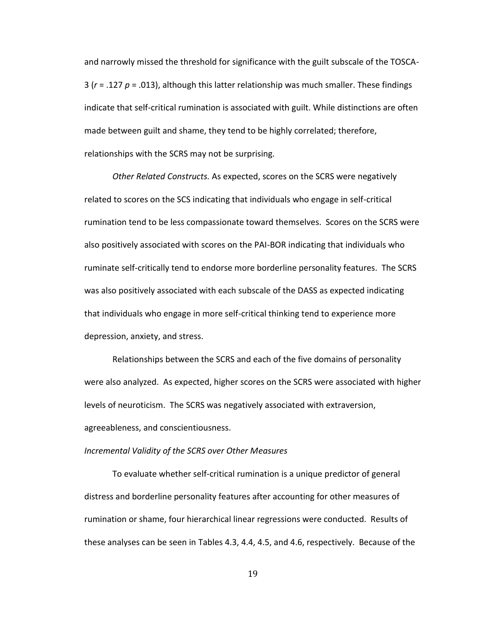and narrowly missed the threshold for significance with the guilt subscale of the TOSCA-3 (*r* = .127 *p* = .013), although this latter relationship was much smaller. These findings indicate that self-critical rumination is associated with guilt. While distinctions are often made between guilt and shame, they tend to be highly correlated; therefore, relationships with the SCRS may not be surprising.

<span id="page-27-0"></span>*Other Related Constructs.* As expected, scores on the SCRS were negatively related to scores on the SCS indicating that individuals who engage in self-critical rumination tend to be less compassionate toward themselves. Scores on the SCRS were also positively associated with scores on the PAI-BOR indicating that individuals who ruminate self-critically tend to endorse more borderline personality features. The SCRS was also positively associated with each subscale of the DASS as expected indicating that individuals who engage in more self-critical thinking tend to experience more depression, anxiety, and stress.

Relationships between the SCRS and each of the five domains of personality were also analyzed. As expected, higher scores on the SCRS were associated with higher levels of neuroticism. The SCRS was negatively associated with extraversion, agreeableness, and conscientiousness.

#### <span id="page-27-1"></span>*Incremental Validity of the SCRS over Other Measures*

To evaluate whether self-critical rumination is a unique predictor of general distress and borderline personality features after accounting for other measures of rumination or shame, four hierarchical linear regressions were conducted. Results of these analyses can be seen in Tables 4.3, 4.4, 4.5, and 4.6, respectively. Because of the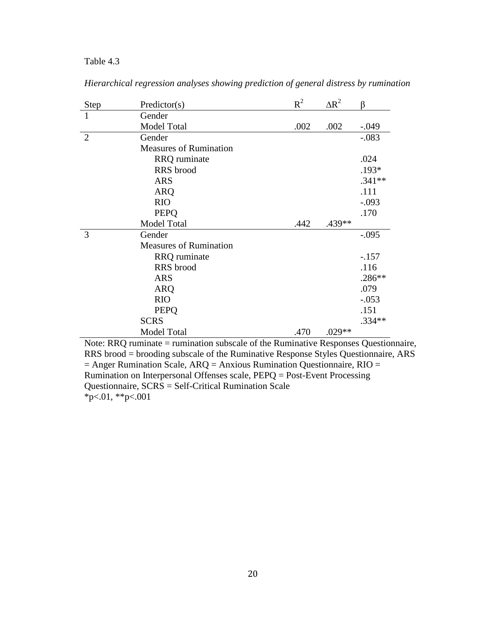| <b>Step</b>    | Predictor(s)                  | $R^2$ | $\Delta R^2$ | β        |
|----------------|-------------------------------|-------|--------------|----------|
| $\mathbf{1}$   | Gender                        |       |              |          |
|                | <b>Model Total</b>            | .002  | .002         | $-.049$  |
| $\overline{2}$ | Gender                        |       |              | $-.083$  |
|                | <b>Measures of Rumination</b> |       |              |          |
|                | <b>RRQ</b> ruminate           |       |              | .024     |
|                | RRS brood                     |       |              | .193*    |
|                | <b>ARS</b>                    |       |              | $.341**$ |
|                | <b>ARQ</b>                    |       |              | .111     |
|                | <b>RIO</b>                    |       |              | $-.093$  |
|                | <b>PEPQ</b>                   |       |              | .170     |
|                | <b>Model Total</b>            | .442  | .439**       |          |
| 3              | Gender                        |       |              | $-.095$  |
|                | <b>Measures of Rumination</b> |       |              |          |
|                | <b>RRQ</b> ruminate           |       |              | $-.157$  |
|                | RRS brood                     |       |              | .116     |
|                | <b>ARS</b>                    |       |              | .286**   |
|                | <b>ARQ</b>                    |       |              | .079     |
|                | <b>RIO</b>                    |       |              | $-.053$  |
|                | <b>PEPQ</b>                   |       |              | .151     |
|                | <b>SCRS</b>                   |       |              | $.334**$ |
|                | <b>Model Total</b>            | .470  | .029**       |          |

*Hierarchical regression analyses showing prediction of general distress by rumination*

Note: RRQ ruminate = rumination subscale of the Ruminative Responses Questionnaire, RRS brood = brooding subscale of the Ruminative Response Styles Questionnaire, ARS  $=$  Anger Rumination Scale, ARQ = Anxious Rumination Questionnaire, RIO = Rumination on Interpersonal Offenses scale, PEPQ = Post-Event Processing Questionnaire, SCRS = Self-Critical Rumination Scale  $*_{p<.01,**p<.001}$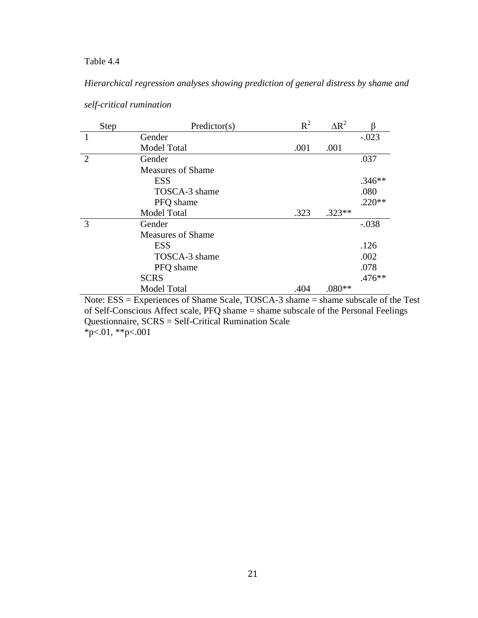*Hierarchical regression analyses showing prediction of general distress by shame and* 

|                | Step | Predictor(s)             | $R^2$ | $\Delta R^2$ |          |
|----------------|------|--------------------------|-------|--------------|----------|
| 1              |      | Gender                   |       |              | $-.023$  |
|                |      | Model Total              | .001  | .001         |          |
| $\overline{2}$ |      | Gender                   |       |              | .037     |
|                |      | <b>Measures of Shame</b> |       |              |          |
|                |      | <b>ESS</b>               |       |              | $.346**$ |
|                |      | TOSCA-3 shame            |       |              | .080     |
|                |      | PFQ shame                |       |              | $.220**$ |
|                |      | <b>Model Total</b>       | .323  | $.323**$     |          |
| 3              |      | Gender                   |       |              | $-.038$  |
|                |      | <b>Measures of Shame</b> |       |              |          |
|                |      | <b>ESS</b>               |       |              | .126     |
|                |      | TOSCA-3 shame            |       |              | .002     |
|                |      | PFQ shame                |       |              | .078     |
|                |      | <b>SCRS</b>              |       |              | $.476**$ |
|                |      | <b>Model Total</b>       | .404  | $.080**$     |          |

# *self-critical rumination*

Note: ESS = Experiences of Shame Scale, TOSCA-3 shame = shame subscale of the Test of Self-Conscious Affect scale, PFQ shame = shame subscale of the Personal Feelings Questionnaire, SCRS = Self-Critical Rumination Scale  $*p<.01, **p<.001$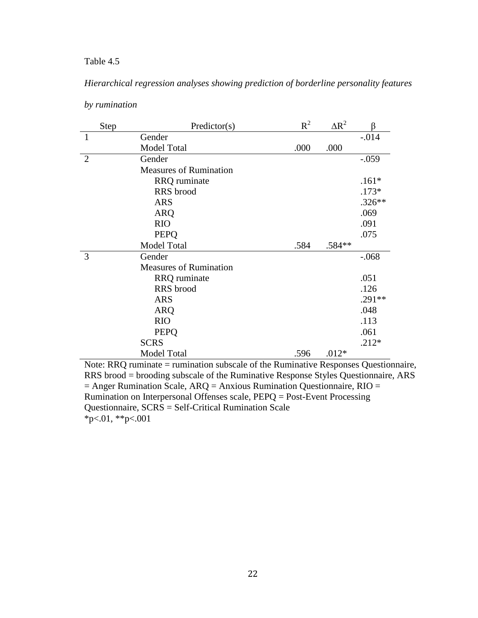# *Hierarchical regression analyses showing prediction of borderline personality features*

| Step           | Predictor(s)                  | $R^2$ | $\Delta R^2$ |          |
|----------------|-------------------------------|-------|--------------|----------|
| $\mathbf{1}$   | Gender                        |       |              | $-.014$  |
|                | Model Total                   | .000  | .000         |          |
| $\overline{2}$ | Gender                        |       |              | $-.059$  |
|                | <b>Measures of Rumination</b> |       |              |          |
|                | <b>RRQ</b> ruminate           |       |              | $.161*$  |
|                | RRS brood                     |       |              | $.173*$  |
|                | <b>ARS</b>                    |       |              | $.326**$ |
|                | <b>ARQ</b>                    |       |              | .069     |
|                | <b>RIO</b>                    |       |              | .091     |
|                | <b>PEPQ</b>                   |       |              | .075     |
|                | <b>Model Total</b>            | .584  | .584**       |          |
| 3              | Gender                        |       |              | $-.068$  |
|                | <b>Measures of Rumination</b> |       |              |          |
|                | RRQ ruminate                  |       |              | .051     |
|                | RRS brood                     |       |              | .126     |
|                | <b>ARS</b>                    |       |              | $.291**$ |
|                | <b>ARQ</b>                    |       |              | .048     |
|                | <b>RIO</b>                    |       |              | .113     |
|                | <b>PEPQ</b>                   |       |              | .061     |
|                | <b>SCRS</b>                   |       |              | $.212*$  |
|                | <b>Model Total</b>            | .596  | $.012*$      |          |

## *by rumination*

Note: RRQ ruminate = rumination subscale of the Ruminative Responses Questionnaire, RRS brood = brooding subscale of the Ruminative Response Styles Questionnaire, ARS  $=$  Anger Rumination Scale, ARQ = Anxious Rumination Questionnaire, RIO = Rumination on Interpersonal Offenses scale, PEPQ = Post-Event Processing Questionnaire, SCRS = Self-Critical Rumination Scale  $*_{p<.01,**p<.001}$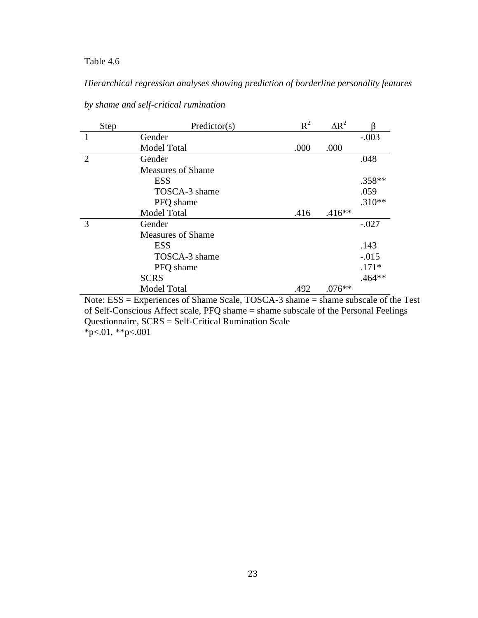# *Hierarchical regression analyses showing prediction of borderline personality features*

|                | Step | Predictor(s)             | $R^2$ | $\Delta R^2$ |          |
|----------------|------|--------------------------|-------|--------------|----------|
| $\mathbf{1}$   |      | Gender                   |       |              | $-.003$  |
|                |      | <b>Model Total</b>       | .000  | .000         |          |
| $\overline{2}$ |      | Gender                   |       |              | .048     |
|                |      | <b>Measures of Shame</b> |       |              |          |
|                |      | <b>ESS</b>               |       |              | .358**   |
|                |      | TOSCA-3 shame            |       |              | .059     |
|                |      | PFQ shame                |       |              | $.310**$ |
|                |      | <b>Model Total</b>       | .416  | $.416**$     |          |
| 3              |      | Gender                   |       |              | $-.027$  |
|                |      | <b>Measures of Shame</b> |       |              |          |
|                |      | <b>ESS</b>               |       |              | .143     |
|                |      | TOSCA-3 shame            |       |              | $-.015$  |
|                |      | PFQ shame                |       |              | $.171*$  |
|                |      | <b>SCRS</b>              |       |              | $.464**$ |
|                |      | <b>Model Total</b>       | .492  | $.076**$     |          |

*by shame and self-critical rumination*

Note: ESS = Experiences of Shame Scale, TOSCA-3 shame = shame subscale of the Test of Self-Conscious Affect scale, PFQ shame = shame subscale of the Personal Feelings Questionnaire, SCRS = Self-Critical Rumination Scale \*p<.01, \*\*p<.001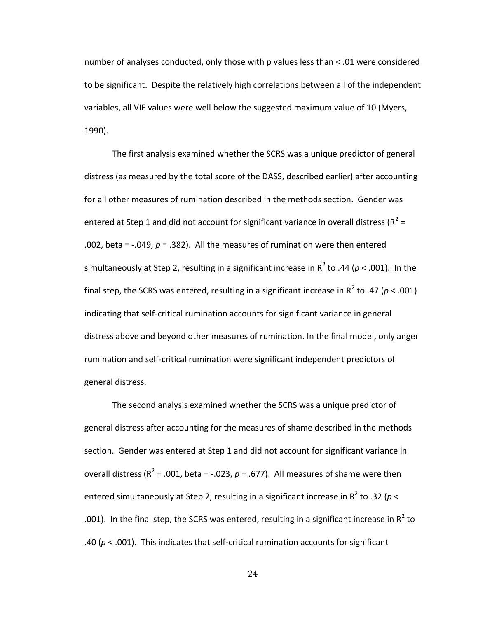number of analyses conducted, only those with p values less than < .01 were considered to be significant. Despite the relatively high correlations between all of the independent variables, all VIF values were well below the suggested maximum value of 10 (Myers, 1990).

The first analysis examined whether the SCRS was a unique predictor of general distress (as measured by the total score of the DASS, described earlier) after accounting for all other measures of rumination described in the methods section. Gender was entered at Step 1 and did not account for significant variance in overall distress ( $R^2$  = .002, beta =  $-.049$ ,  $p = .382$ ). All the measures of rumination were then entered simultaneously at Step 2, resulting in a significant increase in  $R^2$  to .44 ( $p < .001$ ). In the final step, the SCRS was entered, resulting in a significant increase in  $R^2$  to .47 ( $p < .001$ ) indicating that self-critical rumination accounts for significant variance in general distress above and beyond other measures of rumination. In the final model, only anger rumination and self-critical rumination were significant independent predictors of general distress.

The second analysis examined whether the SCRS was a unique predictor of general distress after accounting for the measures of shame described in the methods section. Gender was entered at Step 1 and did not account for significant variance in overall distress ( $R^2$  = .001, beta = -.023,  $p$  = .677). All measures of shame were then entered simultaneously at Step 2, resulting in a significant increase in R<sup>2</sup> to .32 (p < .001). In the final step, the SCRS was entered, resulting in a significant increase in  $R^2$  to .40 (*p* < .001). This indicates that self-critical rumination accounts for significant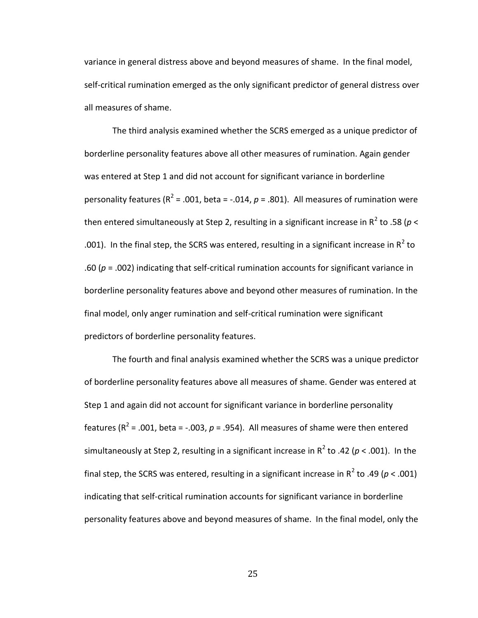variance in general distress above and beyond measures of shame. In the final model, self-critical rumination emerged as the only significant predictor of general distress over all measures of shame.

The third analysis examined whether the SCRS emerged as a unique predictor of borderline personality features above all other measures of rumination. Again gender was entered at Step 1 and did not account for significant variance in borderline personality features ( $R^2$  = .001, beta = -.014,  $p$  = .801). All measures of rumination were then entered simultaneously at Step 2, resulting in a significant increase in R<sup>2</sup> to .58 (*p* < .001). In the final step, the SCRS was entered, resulting in a significant increase in  $R^2$  to .60 ( $p = .002$ ) indicating that self-critical rumination accounts for significant variance in borderline personality features above and beyond other measures of rumination. In the final model, only anger rumination and self-critical rumination were significant predictors of borderline personality features.

The fourth and final analysis examined whether the SCRS was a unique predictor of borderline personality features above all measures of shame. Gender was entered at Step 1 and again did not account for significant variance in borderline personality features ( $R^2$  = .001, beta = -.003,  $p$  = .954). All measures of shame were then entered simultaneously at Step 2, resulting in a significant increase in  $R^2$  to .42 ( $p < .001$ ). In the final step, the SCRS was entered, resulting in a significant increase in  $R^2$  to .49 ( $p < .001$ ) indicating that self-critical rumination accounts for significant variance in borderline personality features above and beyond measures of shame. In the final model, only the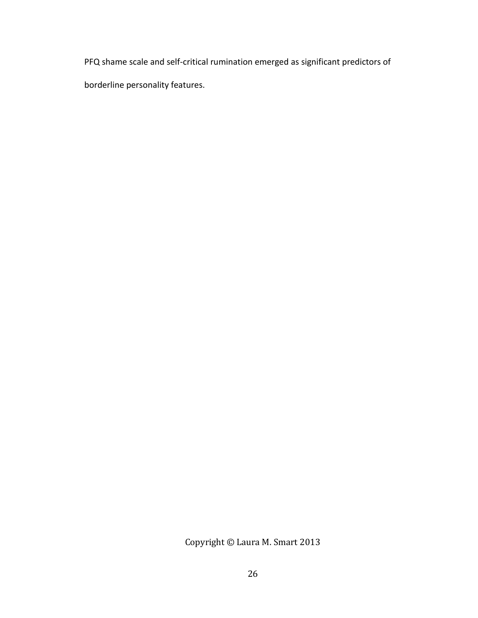PFQ shame scale and self-critical rumination emerged as significant predictors of borderline personality features.

Copyright © Laura M. Smart 2013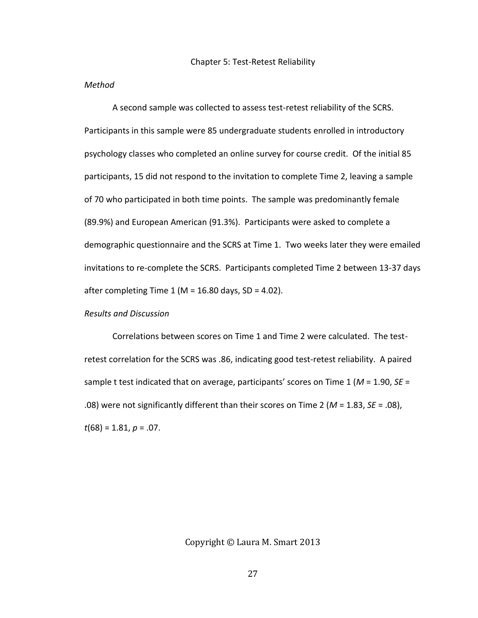#### <span id="page-35-1"></span><span id="page-35-0"></span>*Method*

A second sample was collected to assess test-retest reliability of the SCRS. Participants in this sample were 85 undergraduate students enrolled in introductory psychology classes who completed an online survey for course credit. Of the initial 85 participants, 15 did not respond to the invitation to complete Time 2, leaving a sample of 70 who participated in both time points. The sample was predominantly female (89.9%) and European American (91.3%). Participants were asked to complete a demographic questionnaire and the SCRS at Time 1. Two weeks later they were emailed invitations to re-complete the SCRS. Participants completed Time 2 between 13-37 days after completing Time 1 (M = 16.80 days, SD = 4.02).

#### <span id="page-35-2"></span>*Results and Discussion*

Correlations between scores on Time 1 and Time 2 were calculated. The testretest correlation for the SCRS was .86, indicating good test-retest reliability. A paired sample t test indicated that on average, participants' scores on Time 1 (*M* = 1.90, *SE* = .08) were not significantly different than their scores on Time 2 (*M* = 1.83, *SE* = .08), *t*(68) = 1.81, *p* = .07.

Copyright © Laura M. Smart 2013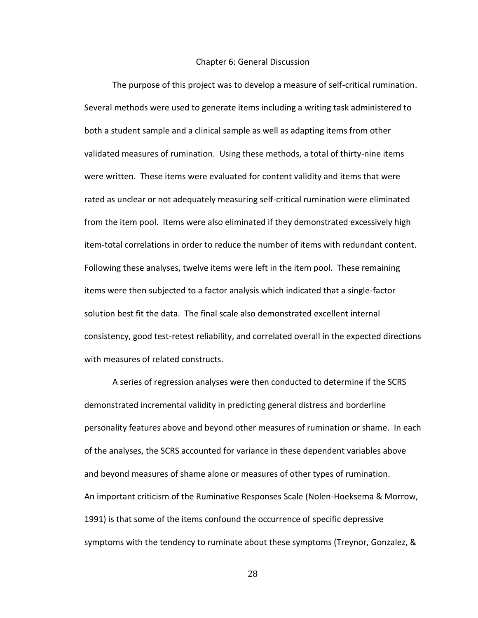#### Chapter 6: General Discussion

<span id="page-36-0"></span>The purpose of this project was to develop a measure of self-critical rumination. Several methods were used to generate items including a writing task administered to both a student sample and a clinical sample as well as adapting items from other validated measures of rumination. Using these methods, a total of thirty-nine items were written. These items were evaluated for content validity and items that were rated as unclear or not adequately measuring self-critical rumination were eliminated from the item pool. Items were also eliminated if they demonstrated excessively high item-total correlations in order to reduce the number of items with redundant content. Following these analyses, twelve items were left in the item pool. These remaining items were then subjected to a factor analysis which indicated that a single-factor solution best fit the data. The final scale also demonstrated excellent internal consistency, good test-retest reliability, and correlated overall in the expected directions with measures of related constructs.

A series of regression analyses were then conducted to determine if the SCRS demonstrated incremental validity in predicting general distress and borderline personality features above and beyond other measures of rumination or shame. In each of the analyses, the SCRS accounted for variance in these dependent variables above and beyond measures of shame alone or measures of other types of rumination. An important criticism of the Ruminative Responses Scale (Nolen-Hoeksema & Morrow, 1991) is that some of the items confound the occurrence of specific depressive symptoms with the tendency to ruminate about these symptoms (Treynor, Gonzalez, &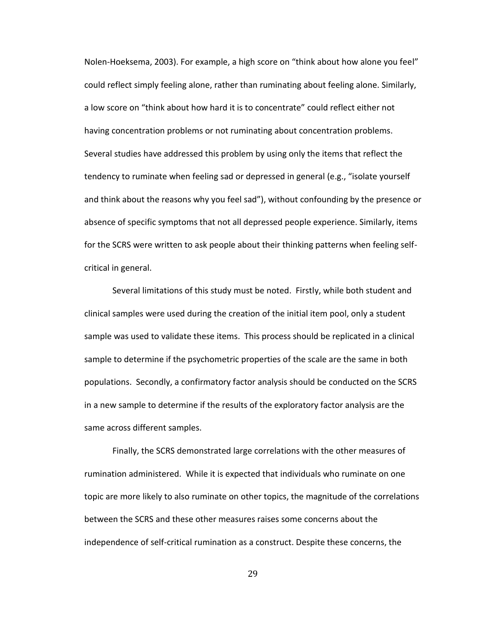Nolen-Hoeksema, 2003). For example, a high score on "think about how alone you feel" could reflect simply feeling alone, rather than ruminating about feeling alone. Similarly, a low score on "think about how hard it is to concentrate" could reflect either not having concentration problems or not ruminating about concentration problems. Several studies have addressed this problem by using only the items that reflect the tendency to ruminate when feeling sad or depressed in general (e.g., "isolate yourself and think about the reasons why you feel sad"), without confounding by the presence or absence of specific symptoms that not all depressed people experience. Similarly, items for the SCRS were written to ask people about their thinking patterns when feeling selfcritical in general.

Several limitations of this study must be noted. Firstly, while both student and clinical samples were used during the creation of the initial item pool, only a student sample was used to validate these items. This process should be replicated in a clinical sample to determine if the psychometric properties of the scale are the same in both populations. Secondly, a confirmatory factor analysis should be conducted on the SCRS in a new sample to determine if the results of the exploratory factor analysis are the same across different samples.

Finally, the SCRS demonstrated large correlations with the other measures of rumination administered. While it is expected that individuals who ruminate on one topic are more likely to also ruminate on other topics, the magnitude of the correlations between the SCRS and these other measures raises some concerns about the independence of self-critical rumination as a construct. Despite these concerns, the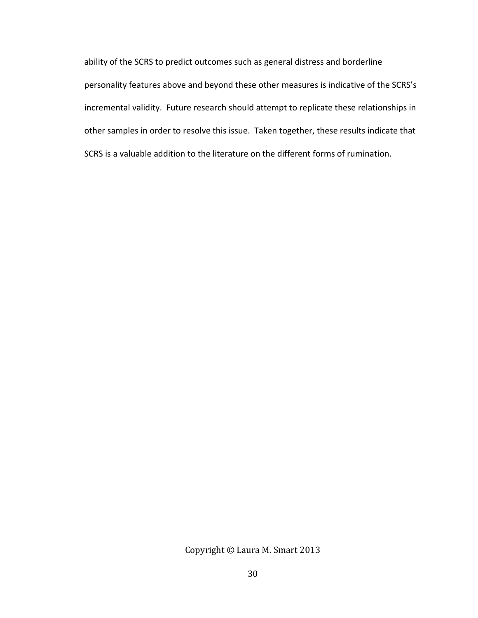ability of the SCRS to predict outcomes such as general distress and borderline personality features above and beyond these other measures is indicative of the SCRS's incremental validity. Future research should attempt to replicate these relationships in other samples in order to resolve this issue. Taken together, these results indicate that SCRS is a valuable addition to the literature on the different forms of rumination.

Copyright © Laura M. Smart 2013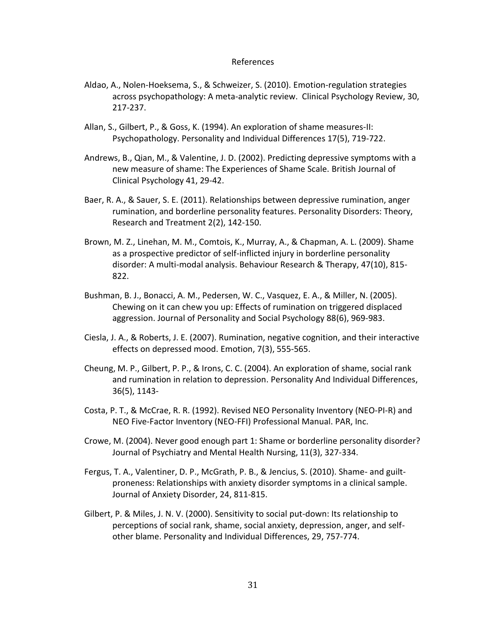#### References

- <span id="page-39-0"></span>Aldao, A., Nolen-Hoeksema, S., & Schweizer, S. (2010). Emotion-regulation strategies across psychopathology: A meta-analytic review. Clinical Psychology Review, 30, 217-237.
- Allan, S., Gilbert, P., & Goss, K. (1994). An exploration of shame measures-II: Psychopathology. Personality and Individual Differences 17(5), 719-722.
- Andrews, B., Qian, M., & Valentine, J. D. (2002). Predicting depressive symptoms with a new measure of shame: The Experiences of Shame Scale. British Journal of Clinical Psychology 41, 29-42.
- Baer, R. A., & Sauer, S. E. (2011). Relationships between depressive rumination, anger rumination, and borderline personality features. Personality Disorders: Theory, Research and Treatment 2(2), 142-150.
- Brown, M. Z., Linehan, M. M., Comtois, K., Murray, A., & Chapman, A. L. (2009). Shame as a prospective predictor of self-inflicted injury in borderline personality disorder: A multi-modal analysis. Behaviour Research & Therapy, 47(10), 815- 822.
- Bushman, B. J., Bonacci, A. M., Pedersen, W. C., Vasquez, E. A., & Miller, N. (2005). Chewing on it can chew you up: Effects of rumination on triggered displaced aggression. Journal of Personality and Social Psychology 88(6), 969-983.
- Ciesla, J. A., & Roberts, J. E. (2007). Rumination, negative cognition, and their interactive effects on depressed mood. Emotion, 7(3), 555-565.
- Cheung, M. P., Gilbert, P. P., & Irons, C. C. (2004). An exploration of shame, social rank and rumination in relation to depression. Personality And Individual Differences, 36(5), 1143-
- Costa, P. T., & McCrae, R. R. (1992). Revised NEO Personality Inventory (NEO-PI-R) and NEO Five-Factor Inventory (NEO-FFI) Professional Manual. PAR, Inc.
- Crowe, M. (2004). Never good enough part 1: Shame or borderline personality disorder? Journal of Psychiatry and Mental Health Nursing, 11(3), 327-334.
- Fergus, T. A., Valentiner, D. P., McGrath, P. B., & Jencius, S. (2010). Shame- and guiltproneness: Relationships with anxiety disorder symptoms in a clinical sample. Journal of Anxiety Disorder, 24, 811-815.
- Gilbert, P. & Miles, J. N. V. (2000). Sensitivity to social put-down: Its relationship to perceptions of social rank, shame, social anxiety, depression, anger, and selfother blame. Personality and Individual Differences, 29, 757-774.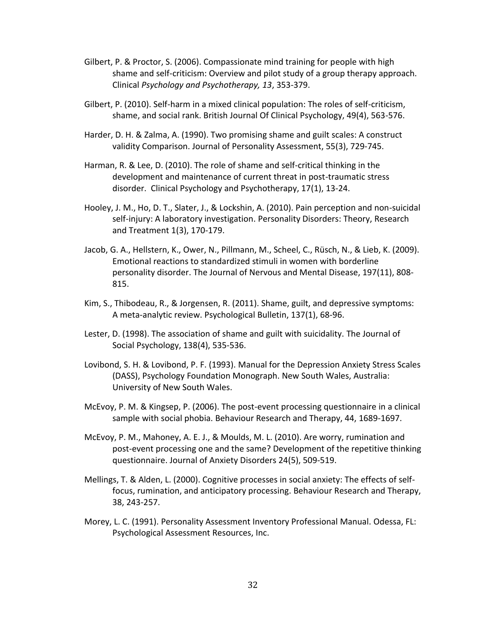- Gilbert, P. & Proctor, S. (2006). Compassionate mind training for people with high shame and self-criticism: Overview and pilot study of a group therapy approach. Clinical *Psychology and Psychotherapy, 13*, 353-379.
- Gilbert, P. (2010). Self-harm in a mixed clinical population: The roles of self-criticism, shame, and social rank. British Journal Of Clinical Psychology, 49(4), 563-576.
- Harder, D. H. & Zalma, A. (1990). Two promising shame and guilt scales: A construct validity Comparison. Journal of Personality Assessment, 55(3), 729-745.
- Harman, R. & Lee, D. (2010). The role of shame and self-critical thinking in the development and maintenance of current threat in post-traumatic stress disorder. Clinical Psychology and Psychotherapy, 17(1), 13-24.
- Hooley, J. M., Ho, D. T., Slater, J., & Lockshin, A. (2010). Pain perception and non-suicidal self-injury: A laboratory investigation. Personality Disorders: Theory, Research and Treatment 1(3), 170-179.
- Jacob, G. A., Hellstern, K., Ower, N., Pillmann, M., Scheel, C., Rüsch, N., & Lieb, K. (2009). Emotional reactions to standardized stimuli in women with borderline personality disorder. The Journal of Nervous and Mental Disease, 197(11), 808- 815.
- Kim, S., Thibodeau, R., & Jorgensen, R. (2011). Shame, guilt, and depressive symptoms: A meta-analytic review. Psychological Bulletin, 137(1), 68-96.
- Lester, D. (1998). The association of shame and guilt with suicidality. The Journal of Social Psychology, 138(4), 535-536.
- Lovibond, S. H. & Lovibond, P. F. (1993). Manual for the Depression Anxiety Stress Scales (DASS), Psychology Foundation Monograph. New South Wales, Australia: University of New South Wales.
- McEvoy, P. M. & Kingsep, P. (2006). The post-event processing questionnaire in a clinical sample with social phobia. Behaviour Research and Therapy, 44, 1689-1697.
- McEvoy, P. M., Mahoney, A. E. J., & Moulds, M. L. (2010). Are worry, rumination and post-event processing one and the same? Development of the repetitive thinking questionnaire. Journal of Anxiety Disorders 24(5), 509-519.
- Mellings, T. & Alden, L. (2000). Cognitive processes in social anxiety: The effects of selffocus, rumination, and anticipatory processing. Behaviour Research and Therapy, 38, 243-257.
- Morey, L. C. (1991). Personality Assessment Inventory Professional Manual. Odessa, FL: Psychological Assessment Resources, Inc.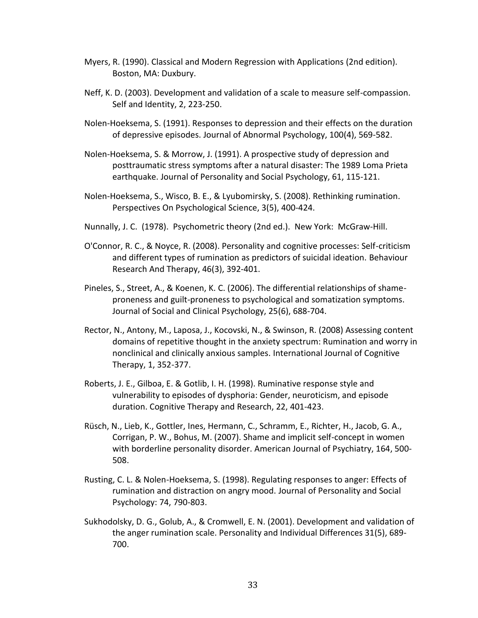- Myers, R. (1990). Classical and Modern Regression with Applications (2nd edition). Boston, MA: Duxbury.
- Neff, K. D. (2003). Development and validation of a scale to measure self-compassion. Self and Identity, 2, 223-250.
- Nolen-Hoeksema, S. (1991). Responses to depression and their effects on the duration of depressive episodes. Journal of Abnormal Psychology, 100(4), 569-582.
- Nolen-Hoeksema, S. & Morrow, J. (1991). A prospective study of depression and posttraumatic stress symptoms after a natural disaster: The 1989 Loma Prieta earthquake. Journal of Personality and Social Psychology, 61, 115-121.
- Nolen-Hoeksema, S., Wisco, B. E., & Lyubomirsky, S. (2008). Rethinking rumination. Perspectives On Psychological Science, 3(5), 400-424.
- Nunnally, J. C. (1978). Psychometric theory (2nd ed.). New York: McGraw-Hill.
- O'Connor, R. C., & Noyce, R. (2008). Personality and cognitive processes: Self-criticism and different types of rumination as predictors of suicidal ideation. Behaviour Research And Therapy, 46(3), 392-401.
- Pineles, S., Street, A., & Koenen, K. C. (2006). The differential relationships of shameproneness and guilt-proneness to psychological and somatization symptoms. Journal of Social and Clinical Psychology, 25(6), 688-704.
- Rector, N., Antony, M., Laposa, J., Kocovski, N., & Swinson, R. (2008) Assessing content domains of repetitive thought in the anxiety spectrum: Rumination and worry in nonclinical and clinically anxious samples. International Journal of Cognitive Therapy, 1, 352-377.
- Roberts, J. E., Gilboa, E. & Gotlib, I. H. (1998). Ruminative response style and vulnerability to episodes of dysphoria: Gender, neuroticism, and episode duration. Cognitive Therapy and Research, 22, 401-423.
- Rüsch, N., Lieb, K., Gottler, Ines, Hermann, C., Schramm, E., Richter, H., Jacob, G. A., Corrigan, P. W., Bohus, M. (2007). Shame and implicit self-concept in women with borderline personality disorder. American Journal of Psychiatry, 164, 500- 508.
- Rusting, C. L. & Nolen-Hoeksema, S. (1998). Regulating responses to anger: Effects of rumination and distraction on angry mood. Journal of Personality and Social Psychology: 74, 790-803.
- Sukhodolsky, D. G., Golub, A., & Cromwell, E. N. (2001). Development and validation of the anger rumination scale. Personality and Individual Differences 31(5), 689- 700.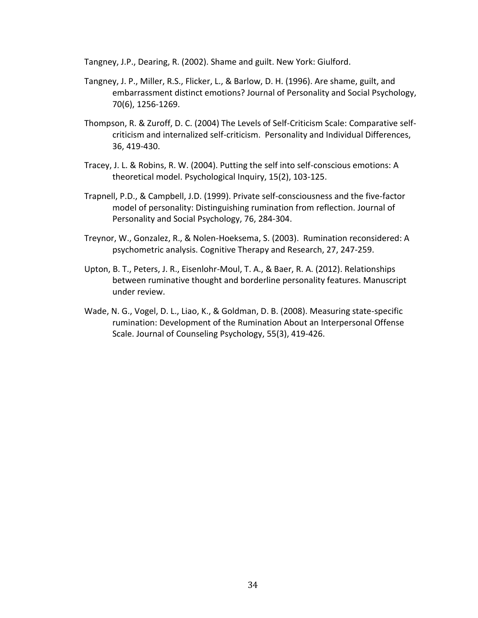Tangney, J.P., Dearing, R. (2002). Shame and guilt. New York: Giulford.

- Tangney, J. P., Miller, R.S., Flicker, L., & Barlow, D. H. (1996). Are shame, guilt, and embarrassment distinct emotions? Journal of Personality and Social Psychology, 70(6), 1256-1269.
- Thompson, R. & Zuroff, D. C. (2004) The Levels of Self-Criticism Scale: Comparative selfcriticism and internalized self-criticism. Personality and Individual Differences, 36, 419-430.
- Tracey, J. L. & Robins, R. W. (2004). Putting the self into self-conscious emotions: A theoretical model. Psychological Inquiry, 15(2), 103-125.
- Trapnell, P.D., & Campbell, J.D. (1999). Private self-consciousness and the five-factor model of personality: Distinguishing rumination from reflection. Journal of Personality and Social Psychology, 76, 284-304.
- Treynor, W., Gonzalez, R., & Nolen-Hoeksema, S. (2003). Rumination reconsidered: A psychometric analysis. Cognitive Therapy and Research, 27, 247-259.
- Upton, B. T., Peters, J. R., Eisenlohr-Moul, T. A., & Baer, R. A. (2012). Relationships between ruminative thought and borderline personality features. Manuscript under review.
- Wade, N. G., Vogel, D. L., Liao, K., & Goldman, D. B. (2008). Measuring state-specific rumination: Development of the Rumination About an Interpersonal Offense Scale. Journal of Counseling Psychology, 55(3), 419-426.